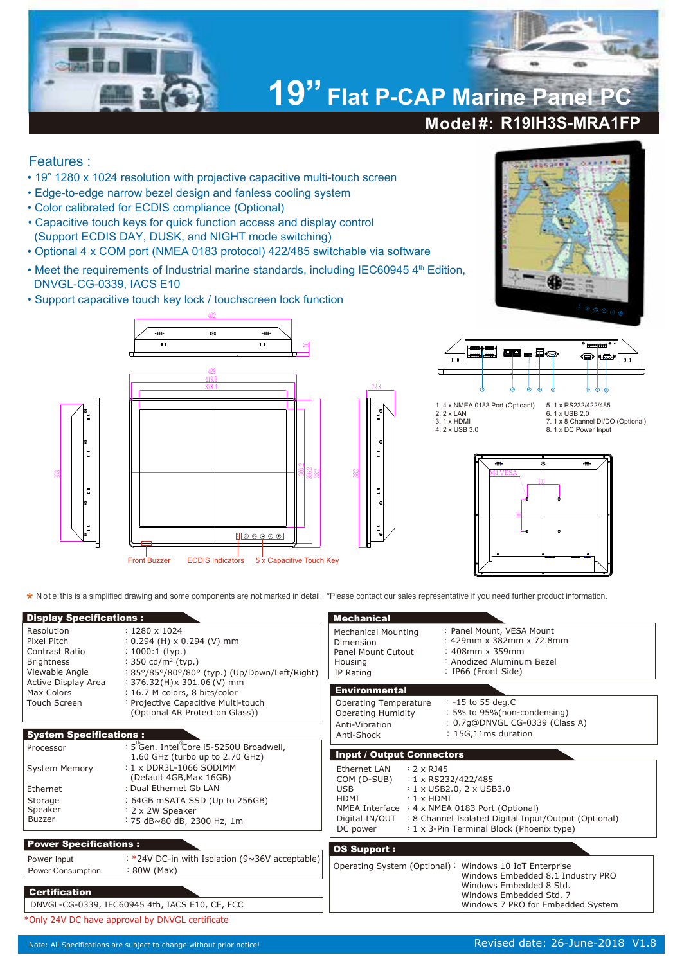

## Features :

- 19" 1280 x 1024 resolution with projective capacitive multi-touch screen
- Edge-to-edge narrow bezel design and fanless cooling system
- Color calibrated for ECDIS compliance (Optional)
- Capacitive touch keys for quick function access and display control (Support ECDIS DAY, DUSK, and NIGHT mode switching)

402

 $\hat{\mathbf{a}}$ 

- Optional 4 x COM port (NMEA 0183 protocol) 422/485 switchable via software
- Meet the requirements of Industrial marine standards, including IEC60945 4<sup>th</sup> Edition, DNVGL-CG-0339, IACS E10

 $\overline{u}$ 

• Support capacitive touch key lock / touchscreen lock function





Front Buzzer ECDIS Indicators 5 x Capacitive Touch Key





1. 4 x NMEA 0183 Port (Optioanl) 2. 2 x LAN 3. 1 x HDMI 4. 2 x USB 3.0

5. 1 x RS232/422/485 6. 1 x USB 2.0 7. 1 x 8 Channel DI/DO (Optional) 8. 1 x DC Power Input



**\*** Note: this is a simplified drawing and some components are not marked in detail. \*Please contact our sales representative if you need further product information.

382

72.8

| <b>Display Specifications:</b>                                                           |                                                                                                                                                                                                                                                | <b>Mechanical</b>                                                                                                                                                                                                                                                                                                                                                                             |                                                                                                                                                                                        |  |  |  |
|------------------------------------------------------------------------------------------|------------------------------------------------------------------------------------------------------------------------------------------------------------------------------------------------------------------------------------------------|-----------------------------------------------------------------------------------------------------------------------------------------------------------------------------------------------------------------------------------------------------------------------------------------------------------------------------------------------------------------------------------------------|----------------------------------------------------------------------------------------------------------------------------------------------------------------------------------------|--|--|--|
| Resolution<br>Pixel Pitch<br>Contrast Ratio<br><b>Brightness</b><br>Viewable Angle       | $: 1280 \times 1024$<br>$: 0.294$ (H) x 0.294 (V) mm<br>$: 1000:1$ (typ.)<br>: 350 cd/m <sup>2</sup> (typ.)<br>: 85°/85°/80°/80° (typ.) (Up/Down/Left/Right)                                                                                   | <b>Mechanical Mounting</b><br>Dimension<br>Panel Mount Cutout<br>Housing<br>IP Rating                                                                                                                                                                                                                                                                                                         | : Panel Mount, VESA Mount<br>: 429mm x 382mm x 72.8mm<br>$: 408$ mm x 359mm<br>: Anodized Aluminum Bezel<br>: IP66 (Front Side)                                                        |  |  |  |
| Active Display Area<br>Max Colors<br>Touch Screen                                        | $: 376.32(H)x 301.06(V)$ mm<br>: 16.7 M colors, 8 bits/color<br>: Projective Capacitive Multi-touch<br>(Optional AR Protection Glass))                                                                                                         | <b>Environmental</b><br>Operating Temperature<br><b>Operating Humidity</b><br>Anti-Vibration                                                                                                                                                                                                                                                                                                  | $: -15$ to 55 deg.C<br>: 5% to 95% (non-condensing)<br>: 0.7q@DNVGL CG-0339 (Class A)                                                                                                  |  |  |  |
| <b>System Specifications:</b>                                                            |                                                                                                                                                                                                                                                | Anti-Shock                                                                                                                                                                                                                                                                                                                                                                                    | : 15G,11ms duration                                                                                                                                                                    |  |  |  |
| Processor<br><b>System Memory</b><br>Ethernet<br>Storage<br>Speaker<br>Buzzer            | : 5 Gen. Intel Core i5-5250U Broadwell,<br>1.60 GHz (turbo up to 2.70 GHz)<br>: 1 x DDR3L-1066 SODIMM<br>(Default 4GB, Max 16GB)<br>: Dual Ethernet Gb LAN<br>: 64GB mSATA SSD (Up to 256GB)<br>: 2 x 2W Speaker<br>: 75 dB~80 dB, 2300 Hz, 1m | <b>Input / Output Connectors</b><br>Ethernet LAN<br>$: 2 \times R$ J45<br>$: 1 \times$ RS232/422/485<br>COM (D-SUB)<br>$: 1 \times$ USB2.0, 2 $\times$ USB3.0<br><b>USB</b><br>$: 1 \times HDMI$<br>HDMI<br>NMEA Interface : 4 x NMEA 0183 Port (Optional)<br>: 8 Channel Isolated Digital Input/Output (Optional)<br>Digital IN/OUT<br>: 1 x 3-Pin Terminal Block (Phoenix type)<br>DC power |                                                                                                                                                                                        |  |  |  |
| <b>Power Specifications:</b><br>Power Input<br>Power Consumption<br><b>Certification</b> | : *24V DC-in with Isolation (9~36V acceptable)<br>$: 80W$ (Max)<br>DNVGL-CG-0339, IEC60945 4th, IACS E10, CE, FCC                                                                                                                              | <b>OS Support:</b>                                                                                                                                                                                                                                                                                                                                                                            | Operating System (Optional): Windows 10 IoT Enterprise<br>Windows Embedded 8.1 Industry PRO<br>Windows Embedded 8 Std.<br>Windows Embedded Std. 7<br>Windows 7 PRO for Embedded System |  |  |  |
| *Only 24V DC have approval by DNVGL certificate                                          |                                                                                                                                                                                                                                                |                                                                                                                                                                                                                                                                                                                                                                                               |                                                                                                                                                                                        |  |  |  |